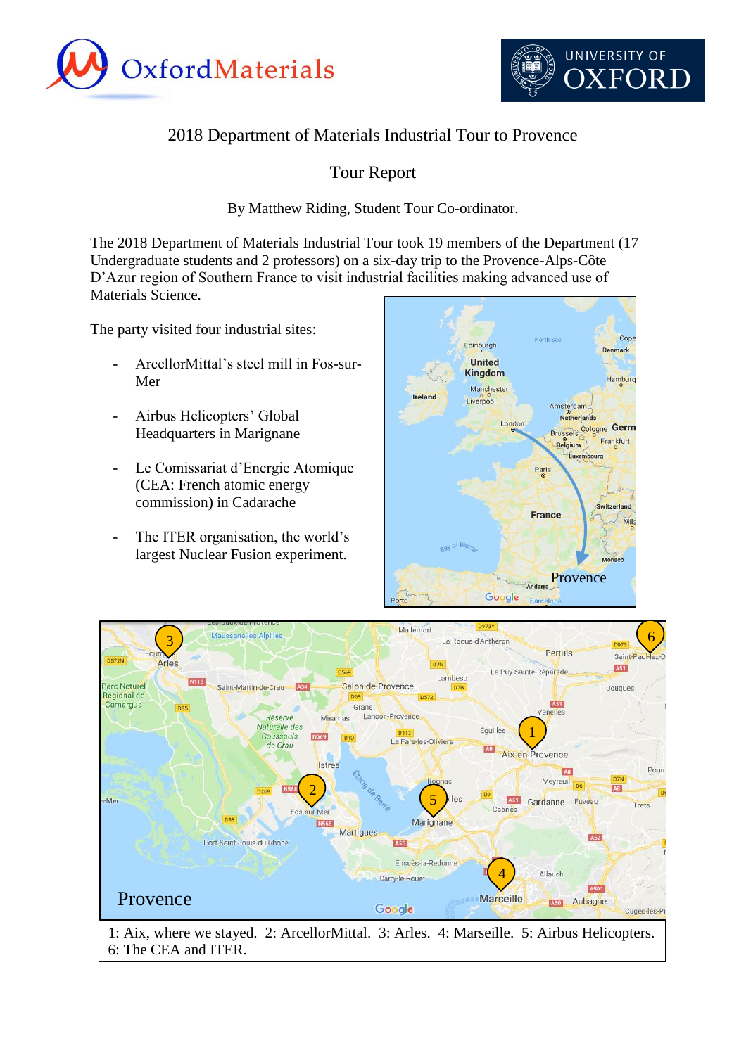



# 2018 Department of Materials Industrial Tour to Provence

# Tour Report

### By Matthew Riding, Student Tour Co-ordinator.

The 2018 Department of Materials Industrial Tour took 19 members of the Department (17 Undergraduate students and 2 professors) on a six-day trip to the Provence-Alps-Côte D'Azur region of Southern France to visit industrial facilities making advanced use of Materials Science.

The party visited four industrial sites:

- ArcellorMittal's steel mill in Fos-sur-Mer
- Airbus Helicopters' Global Headquarters in Marignane
- Le Comissariat d'Energie Atomique (CEA: French atomic energy commission) in Cadarache
- The ITER organisation, the world's largest Nuclear Fusion experiment.





1: Aix, where we stayed. 2: ArcellorMittal. 3: Arles. 4: Marseille. 5: Airbus Helicopters. 6: The CEA and ITER.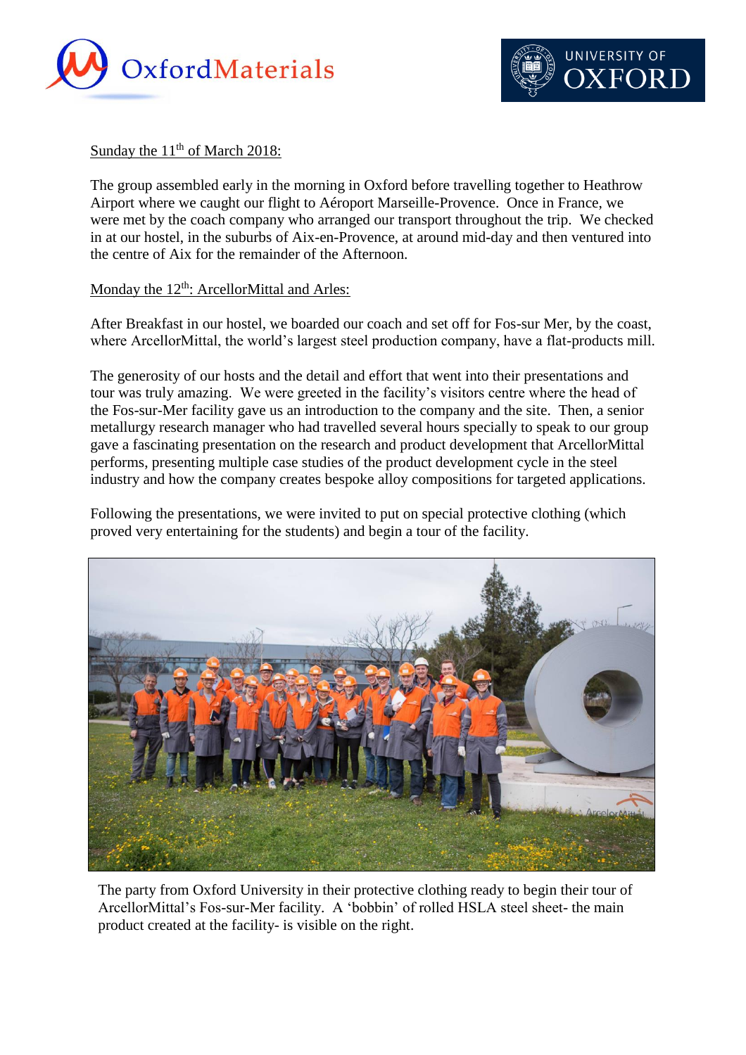



#### Sunday the  $11<sup>th</sup>$  of March 2018:

The group assembled early in the morning in Oxford before travelling together to Heathrow Airport where we caught our flight to Aéroport Marseille-Provence. Once in France, we were met by the coach company who arranged our transport throughout the trip. We checked in at our hostel, in the suburbs of Aix-en-Provence, at around mid-day and then ventured into the centre of Aix for the remainder of the Afternoon.

#### Monday the 12<sup>th</sup>: ArcellorMittal and Arles:

After Breakfast in our hostel, we boarded our coach and set off for Fos-sur Mer, by the coast, where ArcellorMittal, the world's largest steel production company, have a flat-products mill.

The generosity of our hosts and the detail and effort that went into their presentations and tour was truly amazing. We were greeted in the facility's visitors centre where the head of the Fos-sur-Mer facility gave us an introduction to the company and the site. Then, a senior metallurgy research manager who had travelled several hours specially to speak to our group gave a fascinating presentation on the research and product development that ArcellorMittal performs, presenting multiple case studies of the product development cycle in the steel industry and how the company creates bespoke alloy compositions for targeted applications.

Following the presentations, we were invited to put on special protective clothing (which proved very entertaining for the students) and begin a tour of the facility.



The party from Oxford University in their protective clothing ready to begin their tour of ArcellorMittal's Fos-sur-Mer facility. A 'bobbin' of rolled HSLA steel sheet- the main product created at the facility- is visible on the right.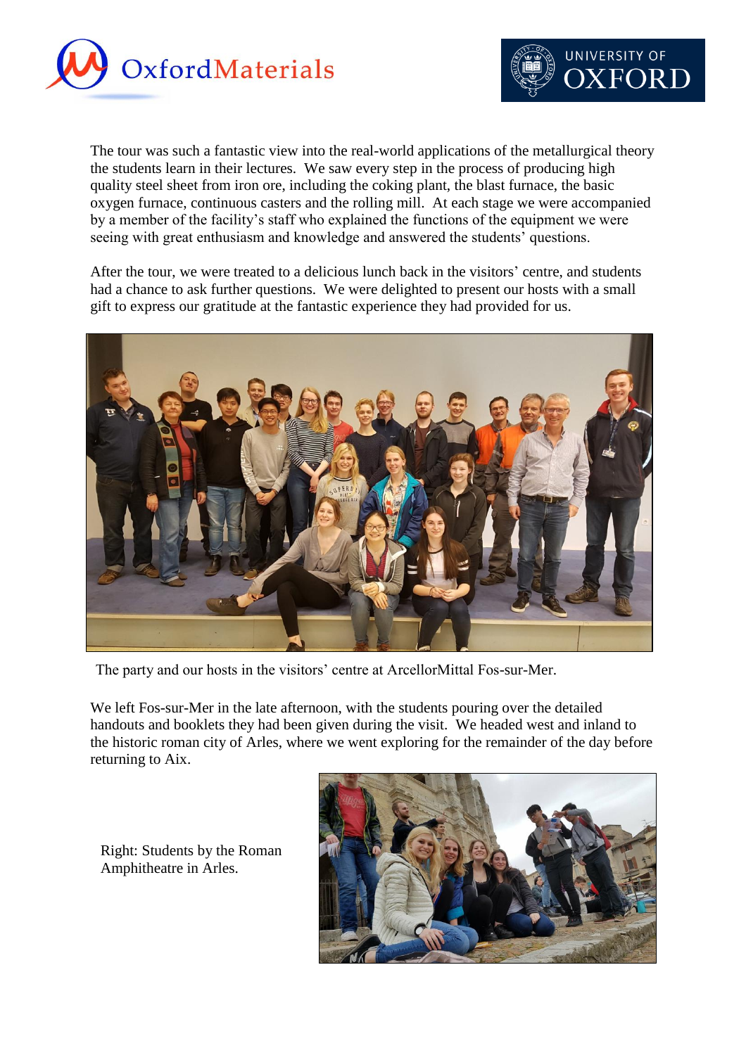



The tour was such a fantastic view into the real-world applications of the metallurgical theory the students learn in their lectures. We saw every step in the process of producing high quality steel sheet from iron ore, including the coking plant, the blast furnace, the basic oxygen furnace, continuous casters and the rolling mill. At each stage we were accompanied by a member of the facility's staff who explained the functions of the equipment we were seeing with great enthusiasm and knowledge and answered the students' questions.

After the tour, we were treated to a delicious lunch back in the visitors' centre, and students had a chance to ask further questions. We were delighted to present our hosts with a small gift to express our gratitude at the fantastic experience they had provided for us.



The party and our hosts in the visitors' centre at ArcellorMittal Fos-sur-Mer.

We left Fos-sur-Mer in the late afternoon, with the students pouring over the detailed handouts and booklets they had been given during the visit. We headed west and inland to the historic roman city of Arles, where we went exploring for the remainder of the day before returning to Aix.

Right: Students by the Roman Amphitheatre in Arles.

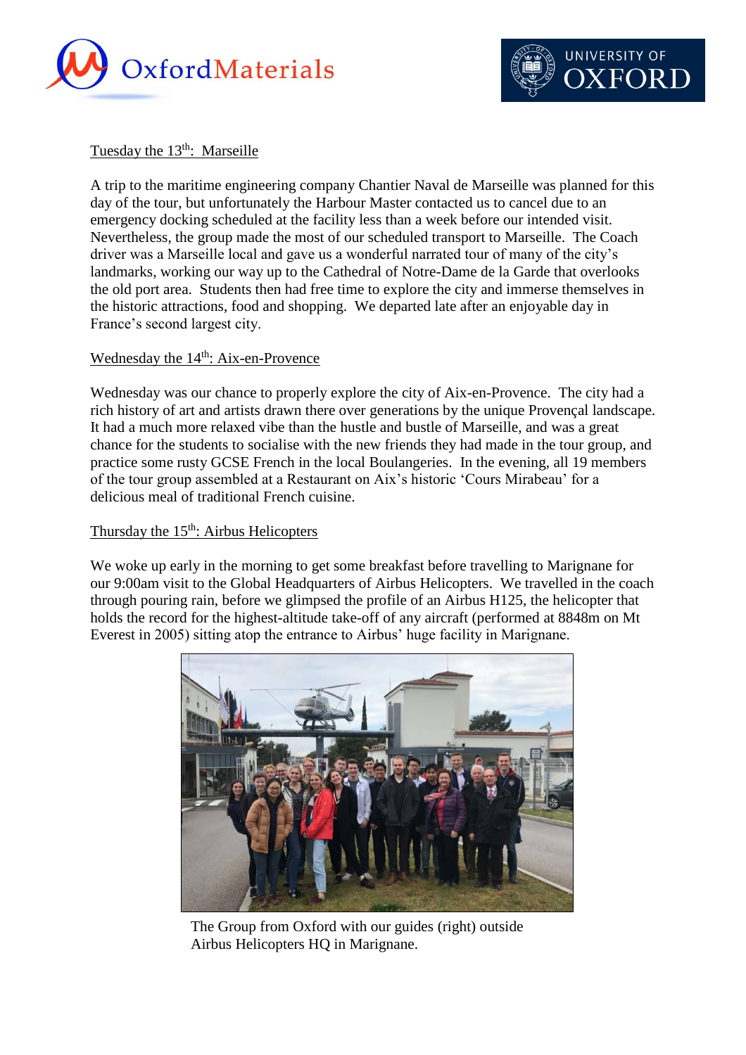



#### Tuesday the  $13<sup>th</sup>$ : Marseille

A trip to the maritime engineering company Chantier Naval de Marseille was planned for this day of the tour, but unfortunately the Harbour Master contacted us to cancel due to an emergency docking scheduled at the facility less than a week before our intended visit. Nevertheless, the group made the most of our scheduled transport to Marseille. The Coach driver was a Marseille local and gave us a wonderful narrated tour of many of the city's landmarks, working our way up to the Cathedral of Notre-Dame de la Garde that overlooks the old port area. Students then had free time to explore the city and immerse themselves in the historic attractions, food and shopping. We departed late after an enjoyable day in France's second largest city.

#### Wednesday the 14<sup>th</sup>: Aix-en-Provence

Wednesday was our chance to properly explore the city of Aix-en-Provence. The city had a rich history of art and artists drawn there over generations by the unique Provençal landscape. It had a much more relaxed vibe than the hustle and bustle of Marseille, and was a great chance for the students to socialise with the new friends they had made in the tour group, and practice some rusty GCSE French in the local Boulangeries. In the evening, all 19 members of the tour group assembled at a Restaurant on Aix's historic 'Cours Mirabeau' for a delicious meal of traditional French cuisine.

## Thursday the  $15<sup>th</sup>$ : Airbus Helicopters

We woke up early in the morning to get some breakfast before travelling to Marignane for our 9:00am visit to the Global Headquarters of Airbus Helicopters. We travelled in the coach through pouring rain, before we glimpsed the profile of an Airbus H125, the helicopter that holds the record for the highest-altitude take-off of any aircraft (performed at 8848m on Mt Everest in 2005) sitting atop the entrance to Airbus' huge facility in Marignane.



The Group from Oxford with our guides (right) outside Airbus Helicopters HQ in Marignane.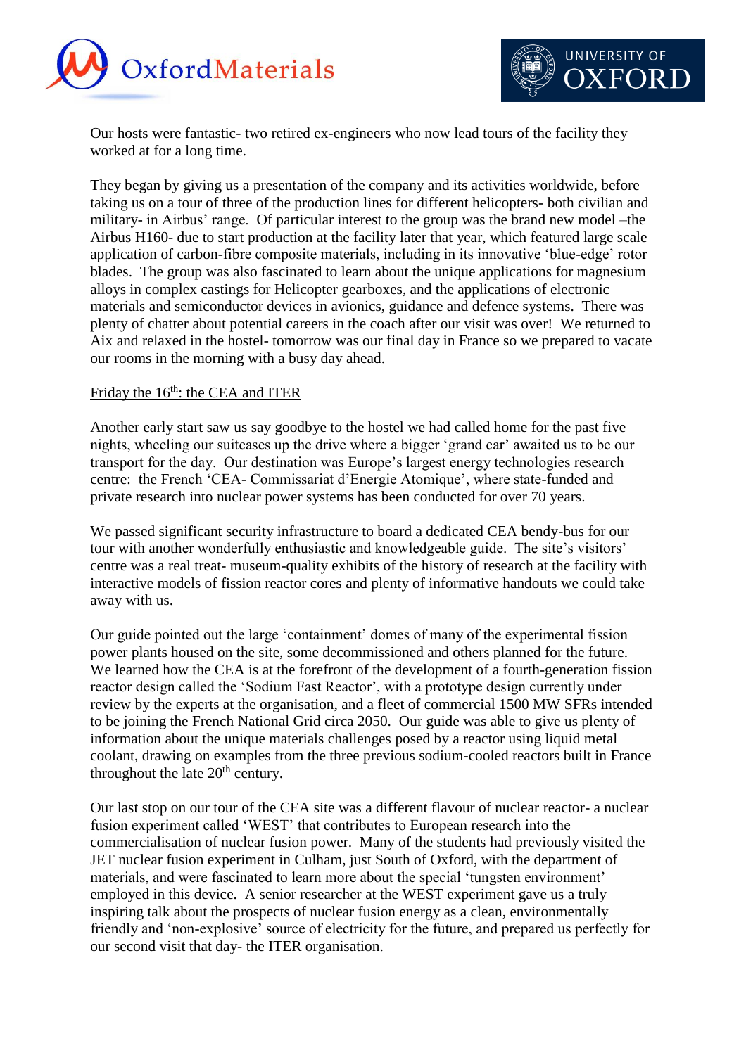



Our hosts were fantastic- two retired ex-engineers who now lead tours of the facility they worked at for a long time.

They began by giving us a presentation of the company and its activities worldwide, before taking us on a tour of three of the production lines for different helicopters- both civilian and military- in Airbus' range. Of particular interest to the group was the brand new model –the Airbus H160- due to start production at the facility later that year, which featured large scale application of carbon-fibre composite materials, including in its innovative 'blue-edge' rotor blades. The group was also fascinated to learn about the unique applications for magnesium alloys in complex castings for Helicopter gearboxes, and the applications of electronic materials and semiconductor devices in avionics, guidance and defence systems. There was plenty of chatter about potential careers in the coach after our visit was over! We returned to Aix and relaxed in the hostel- tomorrow was our final day in France so we prepared to vacate our rooms in the morning with a busy day ahead.

### Friday the 16<sup>th</sup>: the CEA and ITER

Another early start saw us say goodbye to the hostel we had called home for the past five nights, wheeling our suitcases up the drive where a bigger 'grand car' awaited us to be our transport for the day. Our destination was Europe's largest energy technologies research centre: the French 'CEA- Commissariat d'Energie Atomique', where state-funded and private research into nuclear power systems has been conducted for over 70 years.

We passed significant security infrastructure to board a dedicated CEA bendy-bus for our tour with another wonderfully enthusiastic and knowledgeable guide. The site's visitors' centre was a real treat- museum-quality exhibits of the history of research at the facility with interactive models of fission reactor cores and plenty of informative handouts we could take away with us.

Our guide pointed out the large 'containment' domes of many of the experimental fission power plants housed on the site, some decommissioned and others planned for the future. We learned how the CEA is at the forefront of the development of a fourth-generation fission reactor design called the 'Sodium Fast Reactor', with a prototype design currently under review by the experts at the organisation, and a fleet of commercial 1500 MW SFRs intended to be joining the French National Grid circa 2050. Our guide was able to give us plenty of information about the unique materials challenges posed by a reactor using liquid metal coolant, drawing on examples from the three previous sodium-cooled reactors built in France throughout the late  $20<sup>th</sup>$  century.

Our last stop on our tour of the CEA site was a different flavour of nuclear reactor- a nuclear fusion experiment called 'WEST' that contributes to European research into the commercialisation of nuclear fusion power. Many of the students had previously visited the JET nuclear fusion experiment in Culham, just South of Oxford, with the department of materials, and were fascinated to learn more about the special 'tungsten environment' employed in this device. A senior researcher at the WEST experiment gave us a truly inspiring talk about the prospects of nuclear fusion energy as a clean, environmentally friendly and 'non-explosive' source of electricity for the future, and prepared us perfectly for our second visit that day- the ITER organisation.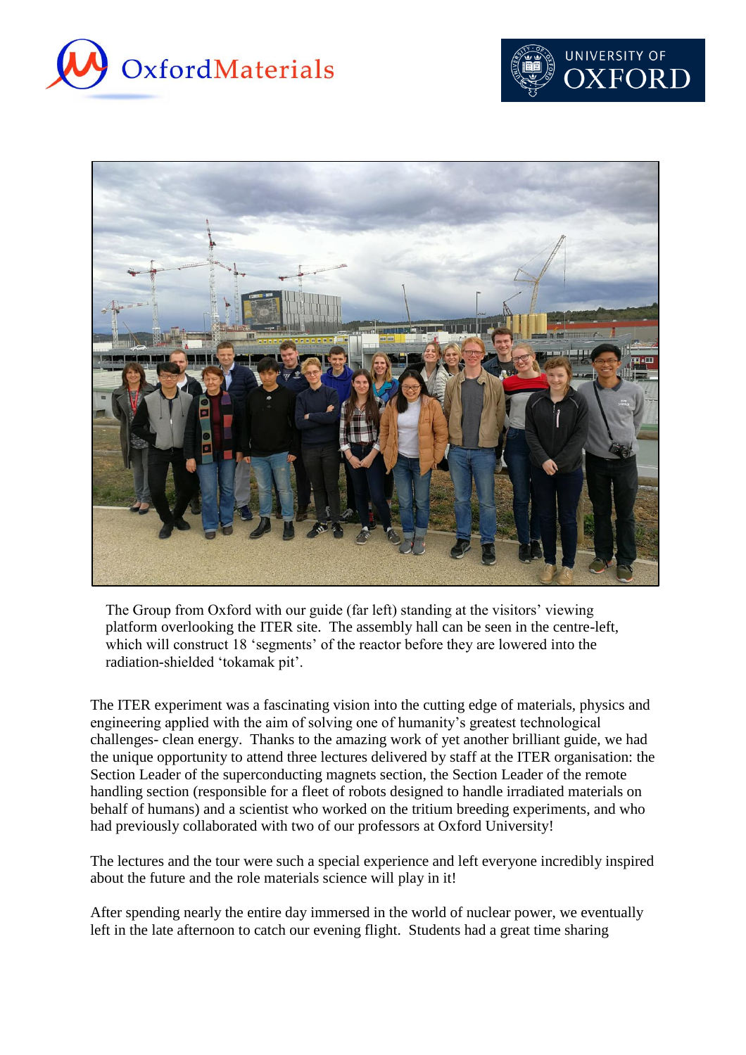





The Group from Oxford with our guide (far left) standing at the visitors' viewing platform overlooking the ITER site. The assembly hall can be seen in the centre-left, which will construct 18 'segments' of the reactor before they are lowered into the radiation-shielded 'tokamak pit'.

The ITER experiment was a fascinating vision into the cutting edge of materials, physics and engineering applied with the aim of solving one of humanity's greatest technological challenges- clean energy. Thanks to the amazing work of yet another brilliant guide, we had the unique opportunity to attend three lectures delivered by staff at the ITER organisation: the Section Leader of the superconducting magnets section, the Section Leader of the remote handling section (responsible for a fleet of robots designed to handle irradiated materials on behalf of humans) and a scientist who worked on the tritium breeding experiments, and who had previously collaborated with two of our professors at Oxford University!

The lectures and the tour were such a special experience and left everyone incredibly inspired about the future and the role materials science will play in it!

After spending nearly the entire day immersed in the world of nuclear power, we eventually left in the late afternoon to catch our evening flight. Students had a great time sharing